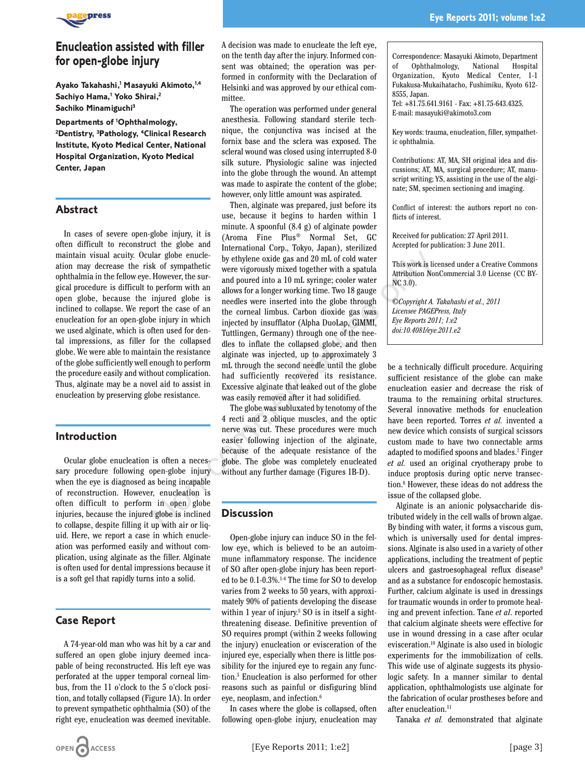

# **Enucleation assisted with filler for open-globe injury**

**Ayako Takahashi,1 Masayuki Akimoto,1,4 Sachiyo Hama,1 Yoko Shirai,2 Sachiko Minamiguchi3**

**Departments of 1 Ophthalmology, 2 Dentistry, 3Pathology, 4Clinical Research Institute, Kyoto Medical Center, National Hospital Organization, Kyoto Medical Center, Japan**

#### **Abstract**

In cases of severe open-globe injury, it is often difficult to reconstruct the globe and maintain visual acuity. Ocular globe enucleation may decrease the risk of sympathetic ophthalmia in the fellow eye. However, the surgical procedure is difficult to perform with an open globe, because the injured globe is inclined to collapse. We report the case of an enucleation for an open-globe injury in which we used alginate, which is often used for dental impressions, as filler for the collapsed globe. We were able to maintain the resistance of the globe sufficiently well enough to perform the procedure easily and without complication. Thus, alginate may be a novel aid to assist in enucleation by preserving globe resistance.

#### **Introduction**

Ocular globe enucleation is often a necessary procedure following open-globe injury when the eye is diagnosed as being incapable of reconstruction. However, enucleation is often difficult to perform in open globe injuries, because the injured globe is inclined to collapse, despite filling it up with air or liquid. Here, we report a case in which enucleation was performed easily and without complication, using alginate as the filler. Alginate is often used for dental impressions because it is a soft gel that rapidly turns into a solid.

## **Case Report**

A 74-year-old man who was hit by a car and suffered an open globe injury deemed incapable of being reconstructed. His left eye was perforated at the upper temporal corneal limbus, from the 11 o'clock to the 5 o'clock position, and totally collapsed (Figure 1A). In order to prevent sympathetic ophthalmia (SO) of the right eye, enucleation was deemed inevitable.

A decision was made to enucleate the left eye, on the tenth day after the injury. Informed consent was obtained; the operation was performed in conformity with the Declaration of Helsinki and was approved by our ethical committee.

The operation was performed under general anesthesia. Following standard sterile technique, the conjunctiva was incised at the fornix base and the sclera was exposed. The scleral wound was closed using interrupted 8-0 silk suture. Physiologic saline was injected into the globe through the wound. An attempt was made to aspirate the content of the globe; however, only little amount was aspirated.

Then, alginate was prepared, just before its use, because it begins to harden within 1 minute. A spoonful (8.4 g) of alginate powder (Aroma Fine Plus® Normal Set, GC International Corp., Tokyo, Japan), sterilized by ethylene oxide gas and 20 mL of cold water were vigorously mixed together with a spatula and poured into a 10 mL syringe; cooler water allows for a longer working time. Two 18 gauge needles were inserted into the globe through the corneal limbus. Carbon dioxide gas was injected by insufflator (Alpha DuoLap, GIMMI, Tuttlingen, Germany) through one of the needles to inflate the collapsed globe, and then alginate was injected, up to approximately 3 mL through the second needle until the globe had sufficiently recovered its resistance. Excessive alginate that leaked out of the globe was easily removed after it had solidified. Mar globe enucle-<br>
alar globe enucle-<br>
by ethylene oxide gas and 20 mL of cold water<br>
ks of sympathetic were vigorously mixed together with a patula<br>
However, the sur-<br>
allows for a long or working time. Two 18 gauge<br>
inj

The globe was subluxated by tenotomy of the 4 recti and 2 oblique muscles, and the optic nerve was cut. These procedures were much easier following injection of the alginate, because of the adequate resistance of the globe. The globe was completely enucleated without any further damage (Figures 1B-D).

## **Discussion**

Open-globe injury can induce SO in the fellow eye, which is believed to be an autoimmune inflammatory response. The incidence of SO after open-globe injury has been reported to be 0.1-0.3%.<sup>14</sup> The time for SO to develop varies from 2 weeks to 50 years, with approximately 90% of patients developing the disease within 1 year of injury.<sup>5</sup> SO is in itself a sightthreatening disease. Definitive prevention of SO requires prompt (within 2 weeks following the injury) enucleation or evisceration of the injured eye, especially when there is little possibility for the injured eye to regain any function.5 Enucleation is also performed for other reasons such as painful or disfiguring blind eye, neoplasm, and infection.6

In cases where the globe is collapsed, often following open-globe injury, enucleation may Correspondence: Masayuki Akimoto, Department of Ophthalmology, Organization, Kyoto Medical Center, 1-1 Fukakusa-Mukaihatacho, Fushimiku, Kyoto 612- 8555, Japan.

Tel: +81.75.641.9161 - Fax: +81.75-643.4325. E-mail: masayuki@akimoto3.com

Key words: trauma, enucleation, filler, sympathetic ophthalmia.

Contributions: AT, MA, SH original idea and discussions; AT, MA, surgical procedure; AT, manuscript writing; YS, assisting in the use of the alginate; SM, specimen sectioning and imaging.

Conflict of interest: the authors report no conflicts of interest.

Received for publication: 27 April 2011. Accepted for publication: 3 June 2011.

This work is licensed under a Creative Commons Attribution NonCommercial 3.0 License (CC BY-NC 3.0).

*©Copyright A. Takahashi et al., 2011 Licensee PAGEPress, Italy Eye Reports 2011; 1:e2 doi:10.4081/eye.2011.e2*

be a technically difficult procedure. Acquiring sufficient resistance of the globe can make enucleation easier and decrease the risk of trauma to the remaining orbital structures. Several innovative methods for enucleation have been reported. Torres *et al.* invented a new device which consists of surgical scissors custom made to have two connectable arms adapted to modified spoons and blades.7 Finger *et al.* used an original cryotherapy probe to induce proptosis during optic nerve transection.8 However, these ideas do not address the issue of the collapsed globe.

Alginate is an anionic polysaccharide distributed widely in the cell walls of brown algae. By binding with water, it forms a viscous gum, which is universally used for dental impressions. Alginate is also used in a variety of other applications, including the treatment of peptic ulcers and gastroesophageal reflux disease<sup>9</sup> and as a substance for endoscopic hemostasis. Further, calcium alginate is used in dressings for traumatic wounds in order to promote healing and prevent infection. Tane *et al*. reported that calcium alginate sheets were effective for use in wound dressing in a case after ocular evisceration.10 Alginate is also used in biologic experiments for the immobilization of cells. This wide use of alginate suggests its physiologic safety. In a manner similar to dental application, ophthalmologists use alginate for the fabrication of ocular prostheses before and after enucleation.<sup>11</sup>

Tanaka *et al.* demonstrated that alginate